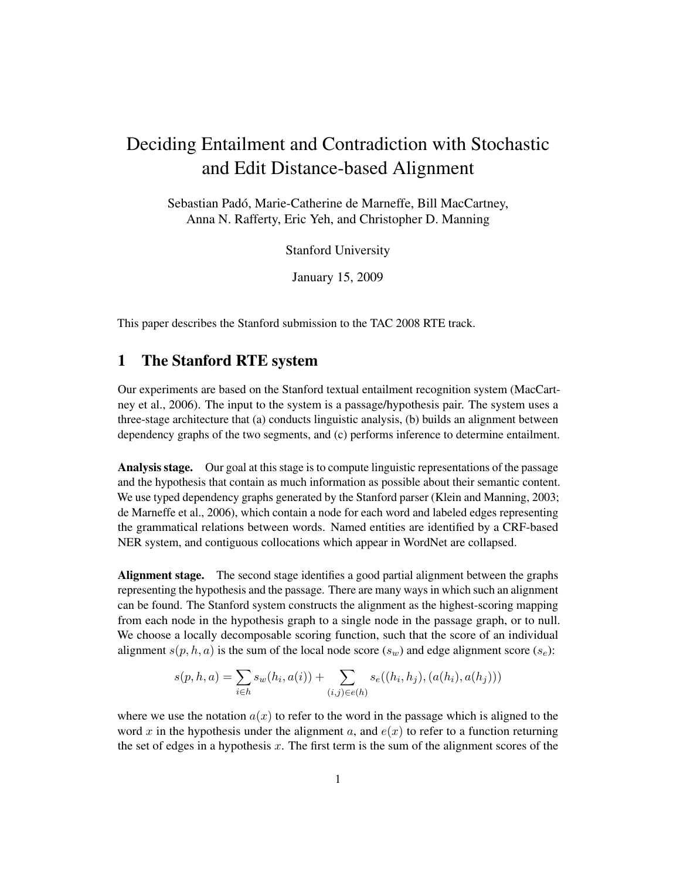# Deciding Entailment and Contradiction with Stochastic and Edit Distance-based Alignment

Sebastian Padó, Marie-Catherine de Marneffe, Bill MacCartney, Anna N. Rafferty, Eric Yeh, and Christopher D. Manning

Stanford University

January 15, 2009

This paper describes the Stanford submission to the TAC 2008 RTE track.

# 1 The Stanford RTE system

Our experiments are based on the Stanford textual entailment recognition system (MacCartney et al., 2006). The input to the system is a passage/hypothesis pair. The system uses a three-stage architecture that (a) conducts linguistic analysis, (b) builds an alignment between dependency graphs of the two segments, and (c) performs inference to determine entailment.

Analysis stage. Our goal at this stage is to compute linguistic representations of the passage and the hypothesis that contain as much information as possible about their semantic content. We use typed dependency graphs generated by the Stanford parser (Klein and Manning, 2003; de Marneffe et al., 2006), which contain a node for each word and labeled edges representing the grammatical relations between words. Named entities are identified by a CRF-based NER system, and contiguous collocations which appear in WordNet are collapsed.

Alignment stage. The second stage identifies a good partial alignment between the graphs representing the hypothesis and the passage. There are many ways in which such an alignment can be found. The Stanford system constructs the alignment as the highest-scoring mapping from each node in the hypothesis graph to a single node in the passage graph, or to null. We choose a locally decomposable scoring function, such that the score of an individual alignment  $s(p, h, a)$  is the sum of the local node score  $(s_w)$  and edge alignment score  $(s_e)$ :

$$
s(p, h, a) = \sum_{i \in h} s_w(h_i, a(i)) + \sum_{(i,j) \in e(h)} s_e((h_i, h_j), (a(h_i), a(h_j)))
$$

where we use the notation  $a(x)$  to refer to the word in the passage which is aligned to the word x in the hypothesis under the alignment a, and  $e(x)$  to refer to a function returning the set of edges in a hypothesis x. The first term is the sum of the alignment scores of the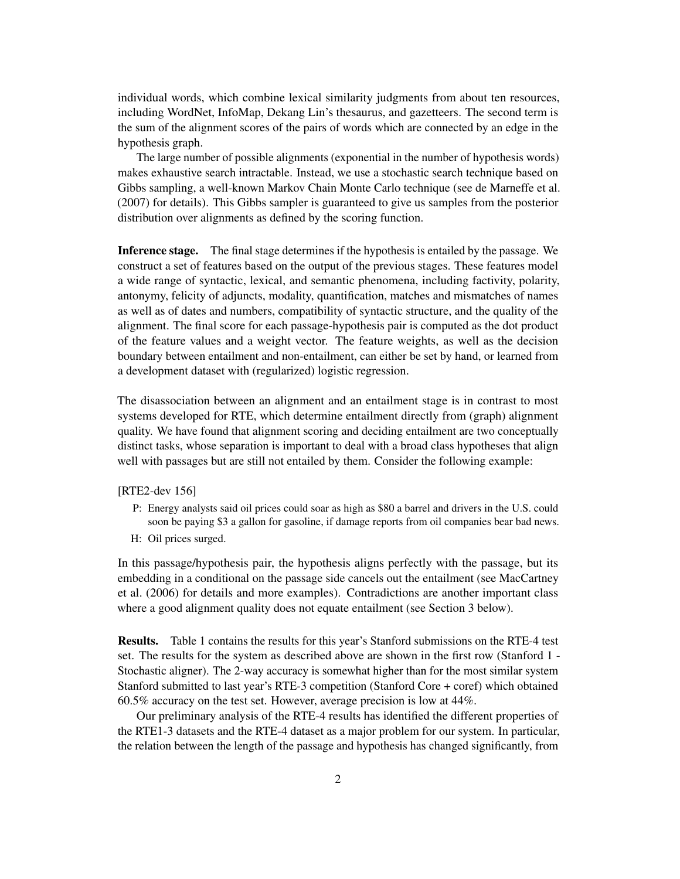individual words, which combine lexical similarity judgments from about ten resources, including WordNet, InfoMap, Dekang Lin's thesaurus, and gazetteers. The second term is the sum of the alignment scores of the pairs of words which are connected by an edge in the hypothesis graph.

The large number of possible alignments (exponential in the number of hypothesis words) makes exhaustive search intractable. Instead, we use a stochastic search technique based on Gibbs sampling, a well-known Markov Chain Monte Carlo technique (see de Marneffe et al. (2007) for details). This Gibbs sampler is guaranteed to give us samples from the posterior distribution over alignments as defined by the scoring function.

Inference stage. The final stage determines if the hypothesis is entailed by the passage. We construct a set of features based on the output of the previous stages. These features model a wide range of syntactic, lexical, and semantic phenomena, including factivity, polarity, antonymy, felicity of adjuncts, modality, quantification, matches and mismatches of names as well as of dates and numbers, compatibility of syntactic structure, and the quality of the alignment. The final score for each passage-hypothesis pair is computed as the dot product of the feature values and a weight vector. The feature weights, as well as the decision boundary between entailment and non-entailment, can either be set by hand, or learned from a development dataset with (regularized) logistic regression.

The disassociation between an alignment and an entailment stage is in contrast to most systems developed for RTE, which determine entailment directly from (graph) alignment quality. We have found that alignment scoring and deciding entailment are two conceptually distinct tasks, whose separation is important to deal with a broad class hypotheses that align well with passages but are still not entailed by them. Consider the following example:

[RTE2-dev 156]

- P: Energy analysts said oil prices could soar as high as \$80 a barrel and drivers in the U.S. could soon be paying \$3 a gallon for gasoline, if damage reports from oil companies bear bad news.
- H: Oil prices surged.

In this passage/hypothesis pair, the hypothesis aligns perfectly with the passage, but its embedding in a conditional on the passage side cancels out the entailment (see MacCartney et al. (2006) for details and more examples). Contradictions are another important class where a good alignment quality does not equate entailment (see Section 3 below).

Results. Table 1 contains the results for this year's Stanford submissions on the RTE-4 test set. The results for the system as described above are shown in the first row (Stanford 1 - Stochastic aligner). The 2-way accuracy is somewhat higher than for the most similar system Stanford submitted to last year's RTE-3 competition (Stanford Core + coref) which obtained 60.5% accuracy on the test set. However, average precision is low at 44%.

Our preliminary analysis of the RTE-4 results has identified the different properties of the RTE1-3 datasets and the RTE-4 dataset as a major problem for our system. In particular, the relation between the length of the passage and hypothesis has changed significantly, from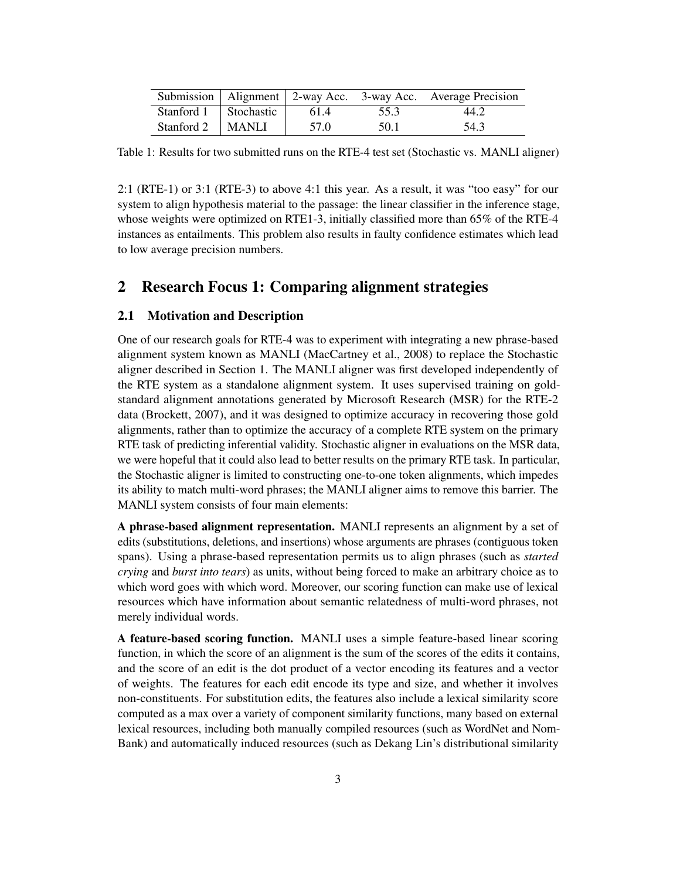|                         |      |      | Submission   Alignment   2-way Acc. 3-way Acc. Average Precision |
|-------------------------|------|------|------------------------------------------------------------------|
| Stanford 1   Stochastic | 61.4 | 55.3 | 44.2                                                             |
| Stanford 2   MANLI      | 57.0 | 50.1 | 54.3                                                             |

Table 1: Results for two submitted runs on the RTE-4 test set (Stochastic vs. MANLI aligner)

2:1 (RTE-1) or 3:1 (RTE-3) to above 4:1 this year. As a result, it was "too easy" for our system to align hypothesis material to the passage: the linear classifier in the inference stage, whose weights were optimized on RTE1-3, initially classified more than 65% of the RTE-4 instances as entailments. This problem also results in faulty confidence estimates which lead to low average precision numbers.

# 2 Research Focus 1: Comparing alignment strategies

#### 2.1 Motivation and Description

One of our research goals for RTE-4 was to experiment with integrating a new phrase-based alignment system known as MANLI (MacCartney et al., 2008) to replace the Stochastic aligner described in Section 1. The MANLI aligner was first developed independently of the RTE system as a standalone alignment system. It uses supervised training on goldstandard alignment annotations generated by Microsoft Research (MSR) for the RTE-2 data (Brockett, 2007), and it was designed to optimize accuracy in recovering those gold alignments, rather than to optimize the accuracy of a complete RTE system on the primary RTE task of predicting inferential validity. Stochastic aligner in evaluations on the MSR data, we were hopeful that it could also lead to better results on the primary RTE task. In particular, the Stochastic aligner is limited to constructing one-to-one token alignments, which impedes its ability to match multi-word phrases; the MANLI aligner aims to remove this barrier. The MANLI system consists of four main elements:

A phrase-based alignment representation. MANLI represents an alignment by a set of edits (substitutions, deletions, and insertions) whose arguments are phrases (contiguous token spans). Using a phrase-based representation permits us to align phrases (such as *started crying* and *burst into tears*) as units, without being forced to make an arbitrary choice as to which word goes with which word. Moreover, our scoring function can make use of lexical resources which have information about semantic relatedness of multi-word phrases, not merely individual words.

A feature-based scoring function. MANLI uses a simple feature-based linear scoring function, in which the score of an alignment is the sum of the scores of the edits it contains, and the score of an edit is the dot product of a vector encoding its features and a vector of weights. The features for each edit encode its type and size, and whether it involves non-constituents. For substitution edits, the features also include a lexical similarity score computed as a max over a variety of component similarity functions, many based on external lexical resources, including both manually compiled resources (such as WordNet and Nom-Bank) and automatically induced resources (such as Dekang Lin's distributional similarity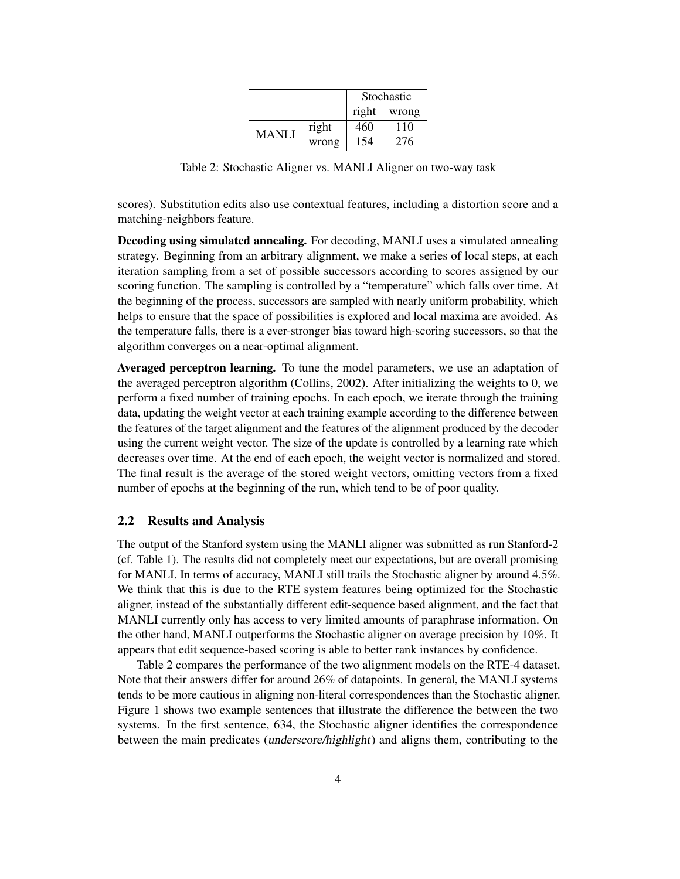|              |       | Stochastic |       |
|--------------|-------|------------|-------|
|              |       | right      | wrong |
| <b>MANLI</b> | right | 460        | 110   |
|              | wrong | 154        | 276   |

Table 2: Stochastic Aligner vs. MANLI Aligner on two-way task

scores). Substitution edits also use contextual features, including a distortion score and a matching-neighbors feature.

Decoding using simulated annealing. For decoding, MANLI uses a simulated annealing strategy. Beginning from an arbitrary alignment, we make a series of local steps, at each iteration sampling from a set of possible successors according to scores assigned by our scoring function. The sampling is controlled by a "temperature" which falls over time. At the beginning of the process, successors are sampled with nearly uniform probability, which helps to ensure that the space of possibilities is explored and local maxima are avoided. As the temperature falls, there is a ever-stronger bias toward high-scoring successors, so that the algorithm converges on a near-optimal alignment.

Averaged perceptron learning. To tune the model parameters, we use an adaptation of the averaged perceptron algorithm (Collins, 2002). After initializing the weights to 0, we perform a fixed number of training epochs. In each epoch, we iterate through the training data, updating the weight vector at each training example according to the difference between the features of the target alignment and the features of the alignment produced by the decoder using the current weight vector. The size of the update is controlled by a learning rate which decreases over time. At the end of each epoch, the weight vector is normalized and stored. The final result is the average of the stored weight vectors, omitting vectors from a fixed number of epochs at the beginning of the run, which tend to be of poor quality.

### 2.2 Results and Analysis

The output of the Stanford system using the MANLI aligner was submitted as run Stanford-2 (cf. Table 1). The results did not completely meet our expectations, but are overall promising for MANLI. In terms of accuracy, MANLI still trails the Stochastic aligner by around 4.5%. We think that this is due to the RTE system features being optimized for the Stochastic aligner, instead of the substantially different edit-sequence based alignment, and the fact that MANLI currently only has access to very limited amounts of paraphrase information. On the other hand, MANLI outperforms the Stochastic aligner on average precision by 10%. It appears that edit sequence-based scoring is able to better rank instances by confidence.

Table 2 compares the performance of the two alignment models on the RTE-4 dataset. Note that their answers differ for around 26% of datapoints. In general, the MANLI systems tends to be more cautious in aligning non-literal correspondences than the Stochastic aligner. Figure 1 shows two example sentences that illustrate the difference the between the two systems. In the first sentence, 634, the Stochastic aligner identifies the correspondence between the main predicates (underscore/highlight) and aligns them, contributing to the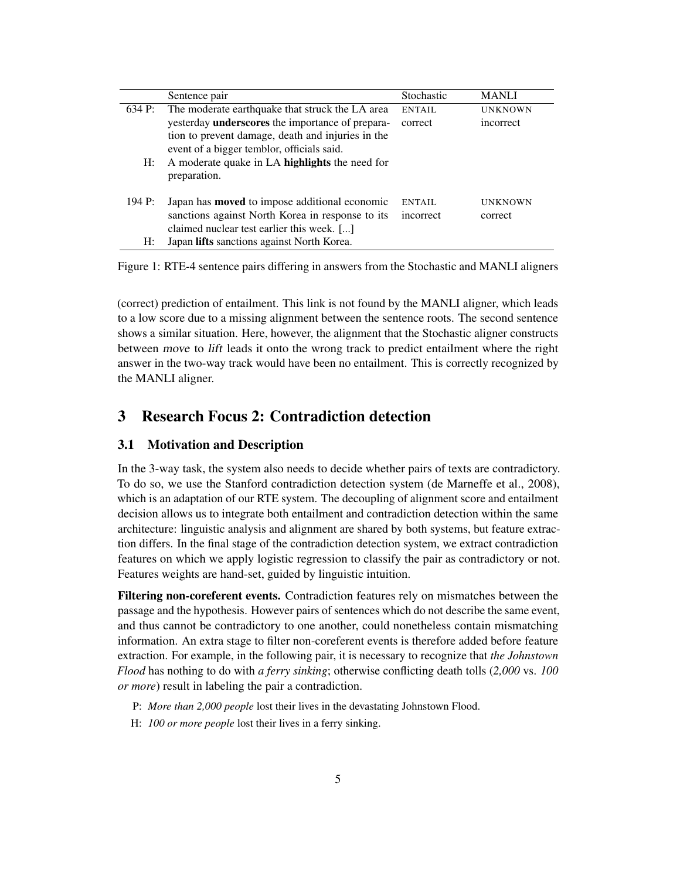|        | Sentence pair                                           | Stochastic | <b>MANLI</b>   |
|--------|---------------------------------------------------------|------------|----------------|
| 634 P: | The moderate earthquake that struck the LA area         | ENTAIL     | <b>UNKNOWN</b> |
|        | yesterday <b>underscores</b> the importance of prepara- | correct    | incorrect      |
|        | tion to prevent damage, death and injuries in the       |            |                |
|        | event of a bigger temblor, officials said.              |            |                |
| $H$ :  | A moderate quake in LA highlights the need for          |            |                |
|        | preparation.                                            |            |                |
|        |                                                         |            |                |
| 194 P: | Japan has <b>moved</b> to impose additional economic    | ENTAIL     | <b>UNKNOWN</b> |
|        | sanctions against North Korea in response to its        | incorrect  | correct        |
|        | claimed nuclear test earlier this week. []              |            |                |
| H:     | Japan lifts sanctions against North Korea.              |            |                |

Figure 1: RTE-4 sentence pairs differing in answers from the Stochastic and MANLI aligners

(correct) prediction of entailment. This link is not found by the MANLI aligner, which leads to a low score due to a missing alignment between the sentence roots. The second sentence shows a similar situation. Here, however, the alignment that the Stochastic aligner constructs between move to lift leads it onto the wrong track to predict entailment where the right answer in the two-way track would have been no entailment. This is correctly recognized by the MANLI aligner.

# 3 Research Focus 2: Contradiction detection

#### 3.1 Motivation and Description

In the 3-way task, the system also needs to decide whether pairs of texts are contradictory. To do so, we use the Stanford contradiction detection system (de Marneffe et al., 2008), which is an adaptation of our RTE system. The decoupling of alignment score and entailment decision allows us to integrate both entailment and contradiction detection within the same architecture: linguistic analysis and alignment are shared by both systems, but feature extraction differs. In the final stage of the contradiction detection system, we extract contradiction features on which we apply logistic regression to classify the pair as contradictory or not. Features weights are hand-set, guided by linguistic intuition.

Filtering non-coreferent events. Contradiction features rely on mismatches between the passage and the hypothesis. However pairs of sentences which do not describe the same event, and thus cannot be contradictory to one another, could nonetheless contain mismatching information. An extra stage to filter non-coreferent events is therefore added before feature extraction. For example, in the following pair, it is necessary to recognize that *the Johnstown Flood* has nothing to do with *a ferry sinking*; otherwise conflicting death tolls (*2,000* vs. *100 or more*) result in labeling the pair a contradiction.

- P: *More than 2,000 people* lost their lives in the devastating Johnstown Flood.
- H: *100 or more people* lost their lives in a ferry sinking.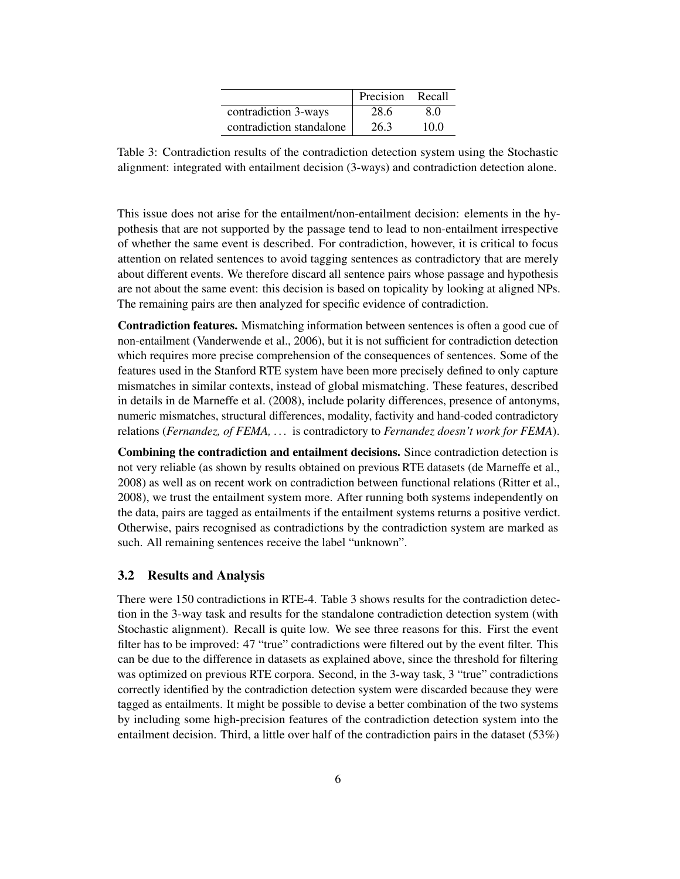|                          | Precision | Recall |
|--------------------------|-----------|--------|
| contradiction 3-ways     | 28.6      | 80     |
| contradiction standalone | 26.3      | 10 O   |

Table 3: Contradiction results of the contradiction detection system using the Stochastic alignment: integrated with entailment decision (3-ways) and contradiction detection alone.

This issue does not arise for the entailment/non-entailment decision: elements in the hypothesis that are not supported by the passage tend to lead to non-entailment irrespective of whether the same event is described. For contradiction, however, it is critical to focus attention on related sentences to avoid tagging sentences as contradictory that are merely about different events. We therefore discard all sentence pairs whose passage and hypothesis are not about the same event: this decision is based on topicality by looking at aligned NPs. The remaining pairs are then analyzed for specific evidence of contradiction.

Contradiction features. Mismatching information between sentences is often a good cue of non-entailment (Vanderwende et al., 2006), but it is not sufficient for contradiction detection which requires more precise comprehension of the consequences of sentences. Some of the features used in the Stanford RTE system have been more precisely defined to only capture mismatches in similar contexts, instead of global mismatching. These features, described in details in de Marneffe et al. (2008), include polarity differences, presence of antonyms, numeric mismatches, structural differences, modality, factivity and hand-coded contradictory relations (*Fernandez, of FEMA, . . .* is contradictory to *Fernandez doesn't work for FEMA*).

Combining the contradiction and entailment decisions. Since contradiction detection is not very reliable (as shown by results obtained on previous RTE datasets (de Marneffe et al., 2008) as well as on recent work on contradiction between functional relations (Ritter et al., 2008), we trust the entailment system more. After running both systems independently on the data, pairs are tagged as entailments if the entailment systems returns a positive verdict. Otherwise, pairs recognised as contradictions by the contradiction system are marked as such. All remaining sentences receive the label "unknown".

### 3.2 Results and Analysis

There were 150 contradictions in RTE-4. Table 3 shows results for the contradiction detection in the 3-way task and results for the standalone contradiction detection system (with Stochastic alignment). Recall is quite low. We see three reasons for this. First the event filter has to be improved: 47 "true" contradictions were filtered out by the event filter. This can be due to the difference in datasets as explained above, since the threshold for filtering was optimized on previous RTE corpora. Second, in the 3-way task, 3 "true" contradictions correctly identified by the contradiction detection system were discarded because they were tagged as entailments. It might be possible to devise a better combination of the two systems by including some high-precision features of the contradiction detection system into the entailment decision. Third, a little over half of the contradiction pairs in the dataset  $(53\%)$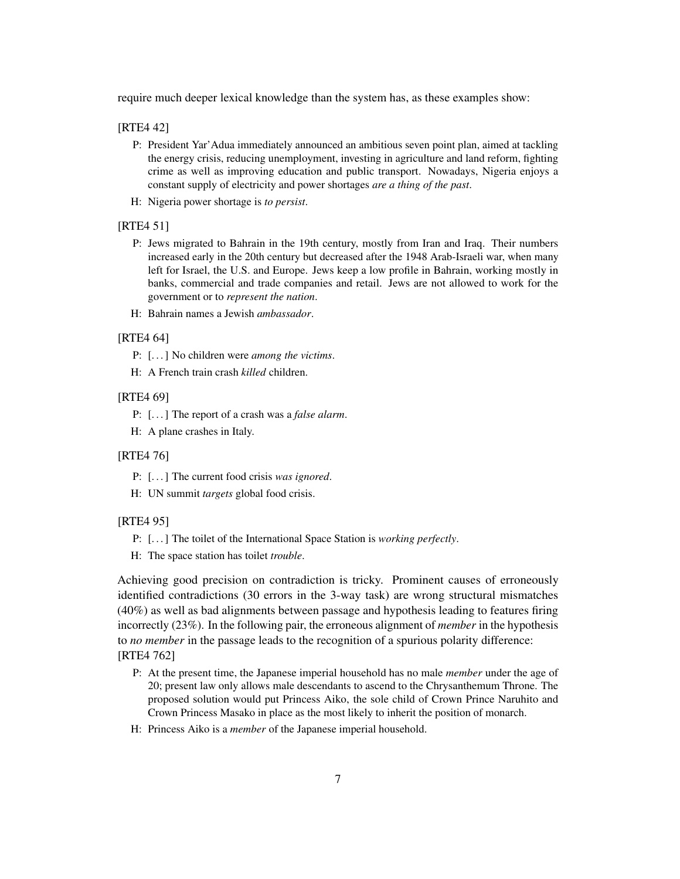require much deeper lexical knowledge than the system has, as these examples show:

#### [RTE4 42]

- P: President Yar'Adua immediately announced an ambitious seven point plan, aimed at tackling the energy crisis, reducing unemployment, investing in agriculture and land reform, fighting crime as well as improving education and public transport. Nowadays, Nigeria enjoys a constant supply of electricity and power shortages *are a thing of the past*.
- H: Nigeria power shortage is *to persist*.

#### [RTE4 51]

- P: Jews migrated to Bahrain in the 19th century, mostly from Iran and Iraq. Their numbers increased early in the 20th century but decreased after the 1948 Arab-Israeli war, when many left for Israel, the U.S. and Europe. Jews keep a low profile in Bahrain, working mostly in banks, commercial and trade companies and retail. Jews are not allowed to work for the government or to *represent the nation*.
- H: Bahrain names a Jewish *ambassador*.

## [RTE4 64]

- P: [. . . ] No children were *among the victims*.
- H: A French train crash *killed* children.

#### [RTE4 69]

- P: [. . . ] The report of a crash was a *false alarm*.
- H: A plane crashes in Italy.

## [RTE4 76]

- P: [. . . ] The current food crisis *was ignored*.
- H: UN summit *targets* global food crisis.

#### [RTE4 95]

P: [. . . ] The toilet of the International Space Station is *working perfectly*.

H: The space station has toilet *trouble*.

Achieving good precision on contradiction is tricky. Prominent causes of erroneously identified contradictions (30 errors in the 3-way task) are wrong structural mismatches (40%) as well as bad alignments between passage and hypothesis leading to features firing incorrectly (23%). In the following pair, the erroneous alignment of *member* in the hypothesis to *no member* in the passage leads to the recognition of a spurious polarity difference: [RTE4 762]

- P: At the present time, the Japanese imperial household has no male *member* under the age of 20; present law only allows male descendants to ascend to the Chrysanthemum Throne. The proposed solution would put Princess Aiko, the sole child of Crown Prince Naruhito and Crown Princess Masako in place as the most likely to inherit the position of monarch.
- H: Princess Aiko is a *member* of the Japanese imperial household.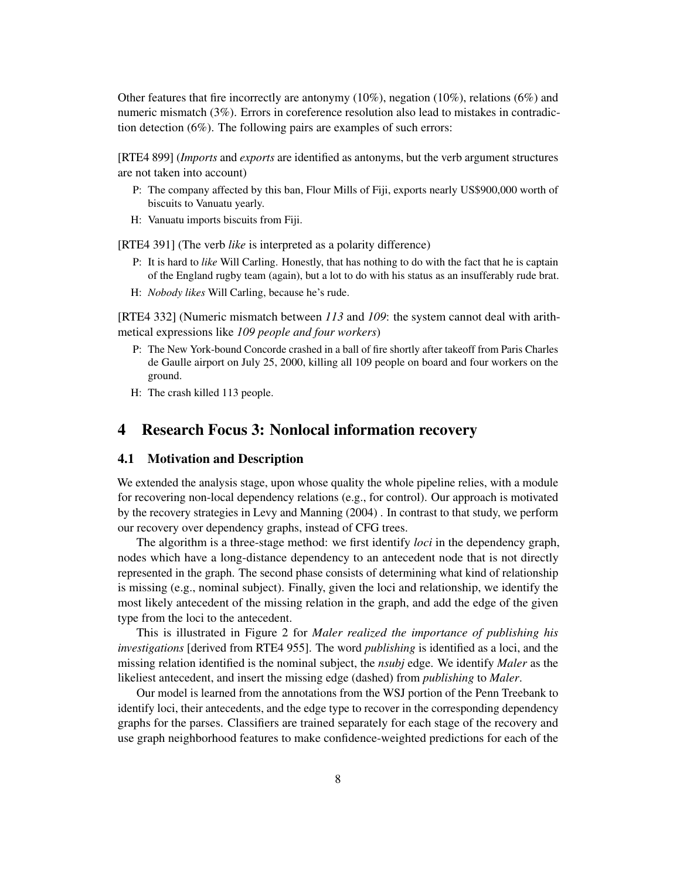Other features that fire incorrectly are antonymy  $(10\%)$ , negation  $(10\%)$ , relations  $(6\%)$  and numeric mismatch (3%). Errors in coreference resolution also lead to mistakes in contradiction detection (6%). The following pairs are examples of such errors:

[RTE4 899] (*Imports* and *exports* are identified as antonyms, but the verb argument structures are not taken into account)

- P: The company affected by this ban, Flour Mills of Fiji, exports nearly US\$900,000 worth of biscuits to Vanuatu yearly.
- H: Vanuatu imports biscuits from Fiji.

[RTE4 391] (The verb *like* is interpreted as a polarity difference)

- P: It is hard to *like* Will Carling. Honestly, that has nothing to do with the fact that he is captain of the England rugby team (again), but a lot to do with his status as an insufferably rude brat.
- H: *Nobody likes* Will Carling, because he's rude.

[RTE4 332] (Numeric mismatch between *113* and *109*: the system cannot deal with arithmetical expressions like *109 people and four workers*)

- P: The New York-bound Concorde crashed in a ball of fire shortly after takeoff from Paris Charles de Gaulle airport on July 25, 2000, killing all 109 people on board and four workers on the ground.
- H: The crash killed 113 people.

## 4 Research Focus 3: Nonlocal information recovery

## 4.1 Motivation and Description

We extended the analysis stage, upon whose quality the whole pipeline relies, with a module for recovering non-local dependency relations (e.g., for control). Our approach is motivated by the recovery strategies in Levy and Manning (2004) . In contrast to that study, we perform our recovery over dependency graphs, instead of CFG trees.

The algorithm is a three-stage method: we first identify *loci* in the dependency graph, nodes which have a long-distance dependency to an antecedent node that is not directly represented in the graph. The second phase consists of determining what kind of relationship is missing (e.g., nominal subject). Finally, given the loci and relationship, we identify the most likely antecedent of the missing relation in the graph, and add the edge of the given type from the loci to the antecedent.

This is illustrated in Figure 2 for *Maler realized the importance of publishing his investigations* [derived from RTE4 955]. The word *publishing* is identified as a loci, and the missing relation identified is the nominal subject, the *nsubj* edge. We identify *Maler* as the likeliest antecedent, and insert the missing edge (dashed) from *publishing* to *Maler*.

Our model is learned from the annotations from the WSJ portion of the Penn Treebank to identify loci, their antecedents, and the edge type to recover in the corresponding dependency graphs for the parses. Classifiers are trained separately for each stage of the recovery and use graph neighborhood features to make confidence-weighted predictions for each of the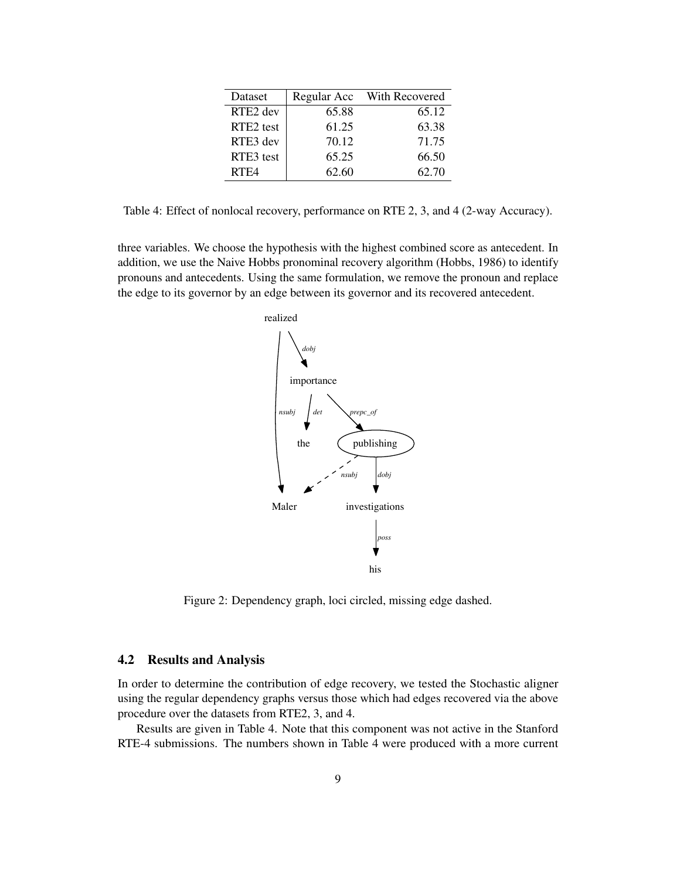| Dataset          | Regular Acc | With Recovered |
|------------------|-------------|----------------|
| RTE2 dev         | 65.88       | 65.12          |
| RTE2 test        | 61.25       | 63.38          |
| RTE3 dev         | 70.12       | 71.75          |
| RTE3 test        | 65.25       | 66.50          |
| RTF <sub>4</sub> | 62.60       | 62.70          |

Table 4: Effect of nonlocal recovery, performance on RTE 2, 3, and 4 (2-way Accuracy).

three variables. We choose the hypothesis with the highest combined score as antecedent. In addition, we use the Naive Hobbs pronominal recovery algorithm (Hobbs, 1986) to identify pronouns and antecedents. Using the same formulation, we remove the pronoun and replace the edge to its governor by an edge between its governor and its recovered antecedent.



Figure 2: Dependency graph, loci circled, missing edge dashed.

## 4.2 Results and Analysis

In order to determine the contribution of edge recovery, we tested the Stochastic aligner using the regular dependency graphs versus those which had edges recovered via the above procedure over the datasets from RTE2, 3, and 4.

Results are given in Table 4. Note that this component was not active in the Stanford RTE-4 submissions. The numbers shown in Table 4 were produced with a more current